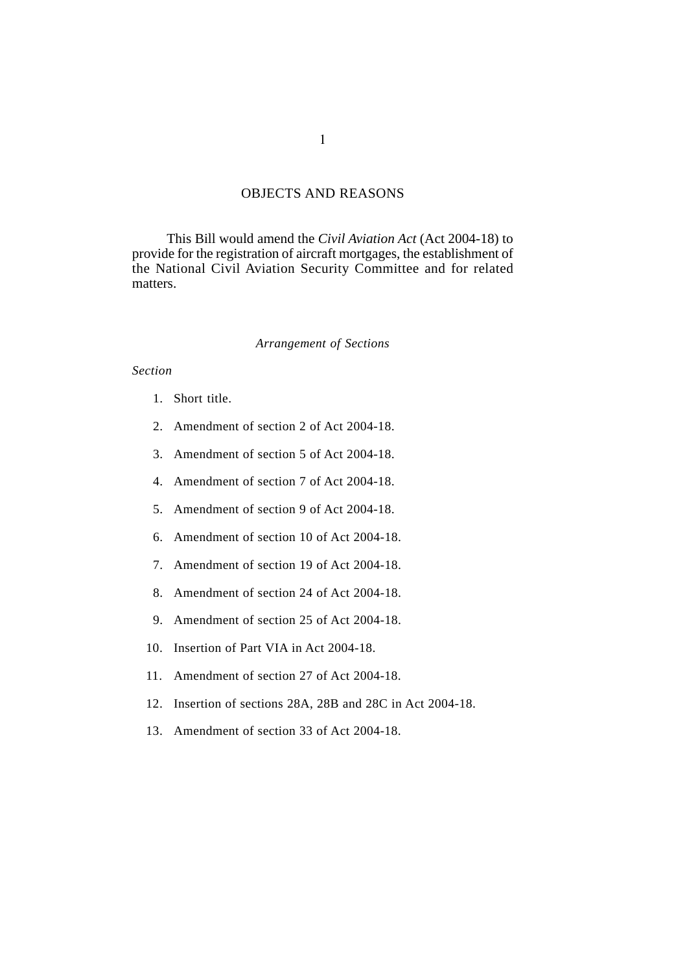## OBJECTS AND REASONS

This Bill would amend the *Civil Aviation Act* (Act 2004-18) to provide for the registration of aircraft mortgages, the establishment of the National Civil Aviation Security Committee and for related matters.

### *Arrangement of Sections*

## *Section*

- 1. Short title.
- 2. Amendment of section 2 of Act 2004-18.
- 3. Amendment of section 5 of Act 2004-18.
- 4. Amendment of section 7 of Act 2004-18.
- 5. Amendment of section 9 of Act 2004-18.
- 6. Amendment of section 10 of Act 2004-18.
- 7. Amendment of section 19 of Act 2004-18.
- 8. Amendment of section 24 of Act 2004-18.
- 9. Amendment of section 25 of Act 2004-18.
- 10. Insertion of Part VIA in Act 2004-18.
- 11. Amendment of section 27 of Act 2004-18.
- 12. Insertion of sections 28A, 28B and 28C in Act 2004-18.
- 13. Amendment of section 33 of Act 2004-18.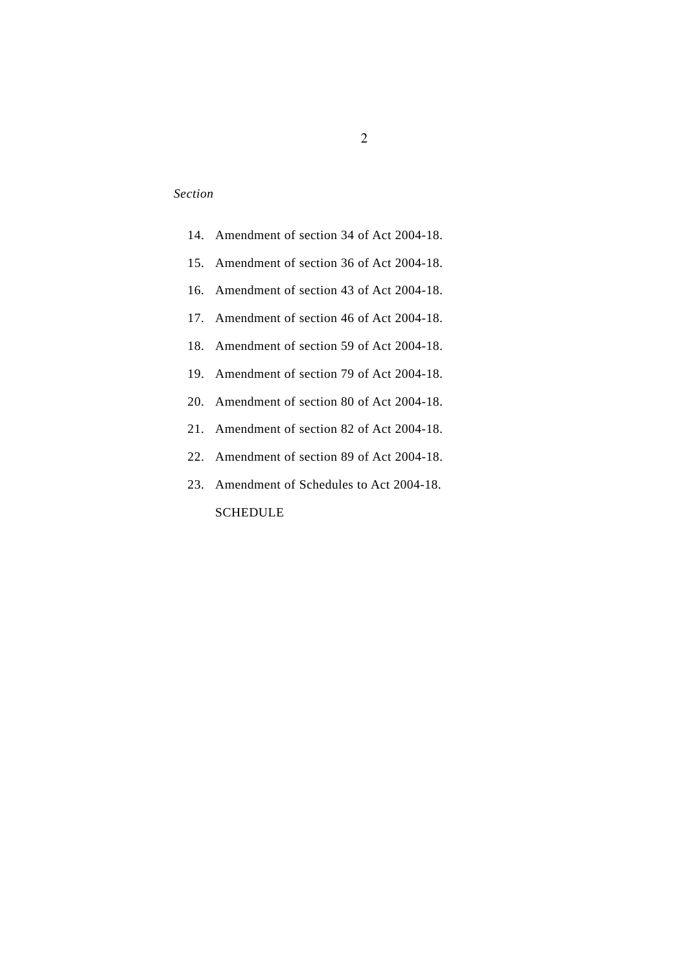# *Section*

|  | 14. Amendment of section 34 of Act 2004-18. |
|--|---------------------------------------------|
|  | 15. Amendment of section 36 of Act 2004-18. |
|  | 16. Amendment of section 43 of Act 2004-18. |
|  | 17. Amendment of section 46 of Act 2004-18. |
|  | 18. Amendment of section 59 of Act 2004-18. |
|  | 19. Amendment of section 79 of Act 2004-18. |
|  | 20. Amendment of section 80 of Act 2004-18. |
|  | 21. Amendment of section 82 of Act 2004-18. |
|  | 22. Amendment of section 89 of Act 2004-18. |
|  | 23. Amendment of Schedules to Act 2004-18.  |
|  | SCHEDULE                                    |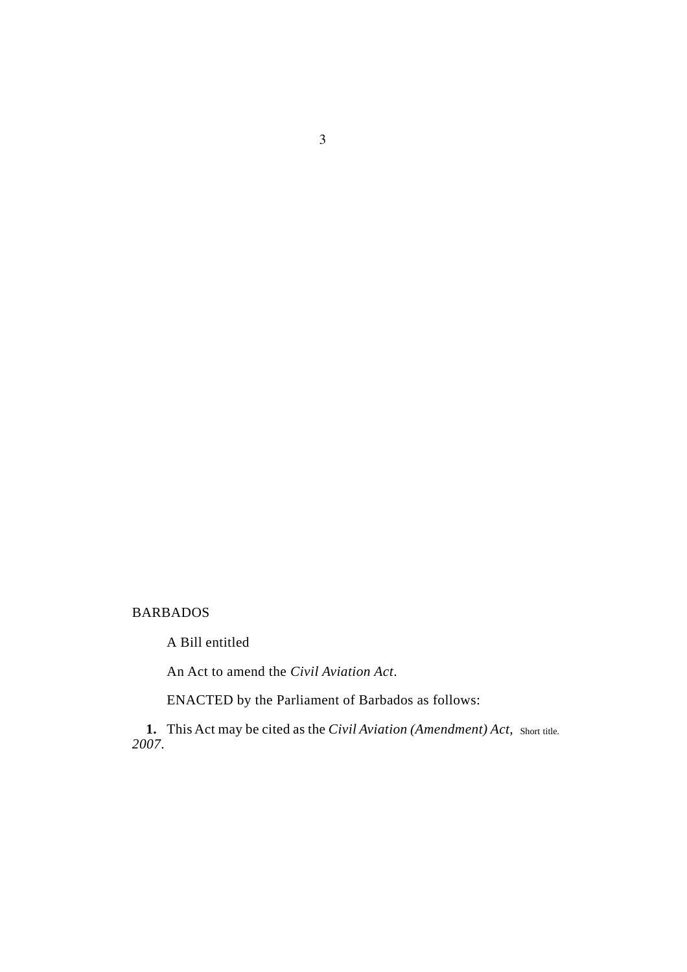# BARBADOS

A Bill entitled

An Act to amend the *Civil Aviation Act*.

ENACTED by the Parliament of Barbados as follows:

1. This Act may be cited as the *Civil Aviation (Amendment) Act*, short title. *2007*.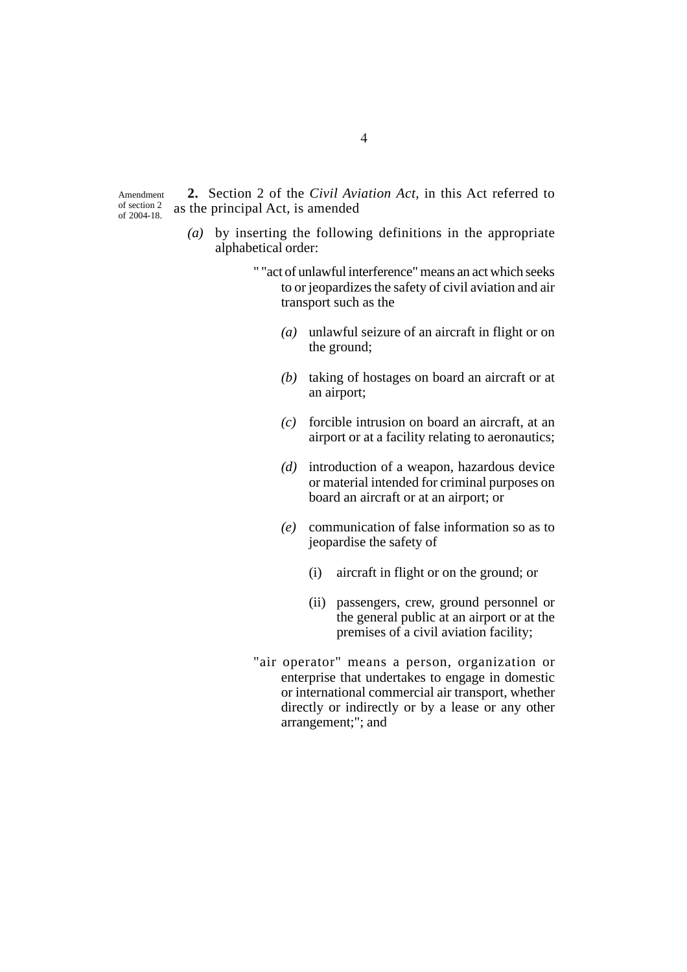Amendment of section 2 of 2004-18.

**2.** Section 2 of the *Civil Aviation Act,* in this Act referred to as the principal Act, is amended

- *(a)* by inserting the following definitions in the appropriate alphabetical order:
	- " "act of unlawful interference" means an act which seeks to or jeopardizes the safety of civil aviation and air transport such as the
		- *(a)* unlawful seizure of an aircraft in flight or on the ground;
		- *(b)* taking of hostages on board an aircraft or at an airport;
		- *(c)* forcible intrusion on board an aircraft, at an airport or at a facility relating to aeronautics;
		- *(d)* introduction of a weapon, hazardous device or material intended for criminal purposes on board an aircraft or at an airport; or
		- *(e)* communication of false information so as to jeopardise the safety of
			- (i) aircraft in flight or on the ground; or
			- (ii) passengers, crew, ground personnel or the general public at an airport or at the premises of a civil aviation facility;
	- "air operator" means a person, organization or enterprise that undertakes to engage in domestic or international commercial air transport, whether directly or indirectly or by a lease or any other arrangement;"; and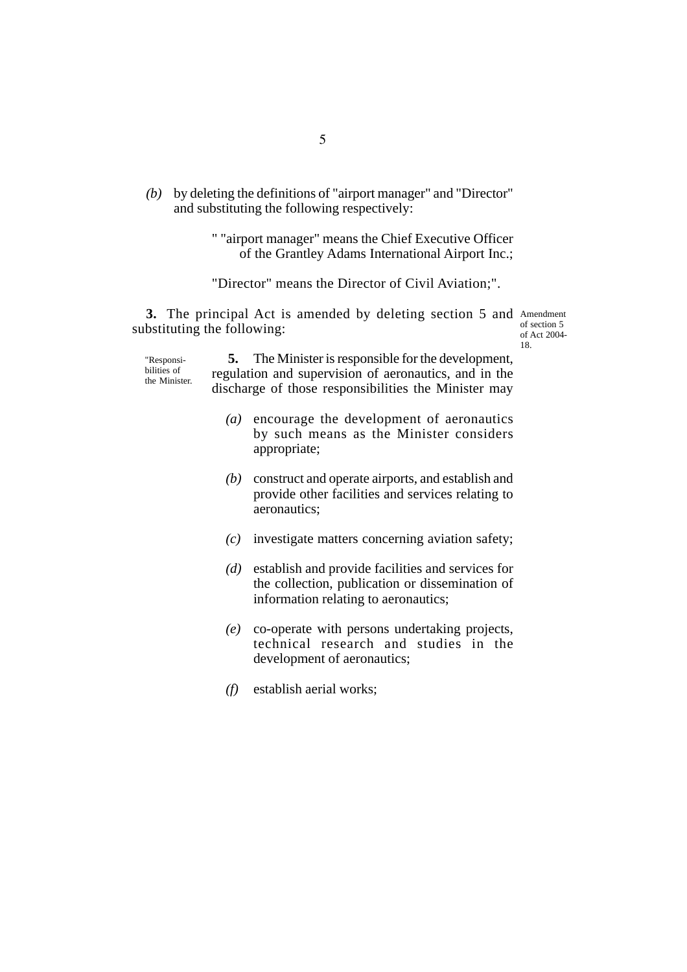*(b)* by deleting the definitions of "airport manager" and "Director" and substituting the following respectively:

> " "airport manager" means the Chief Executive Officer of the Grantley Adams International Airport Inc.;

"Director" means the Director of Civil Aviation;".

3. The principal Act is amended by deleting section 5 and Amendment substituting the following: of section 5 of Act 2004-

"Responsibilities of the Minister.

**5.** The Minister is responsible for the development, regulation and supervision of aeronautics, and in the discharge of those responsibilities the Minister may

18.

- *(a)* encourage the development of aeronautics by such means as the Minister considers appropriate;
- *(b)* construct and operate airports, and establish and provide other facilities and services relating to aeronautics;
- *(c)* investigate matters concerning aviation safety;
- *(d)* establish and provide facilities and services for the collection, publication or dissemination of information relating to aeronautics;
- *(e)* co-operate with persons undertaking projects, technical research and studies in the development of aeronautics;
- *(f)* establish aerial works;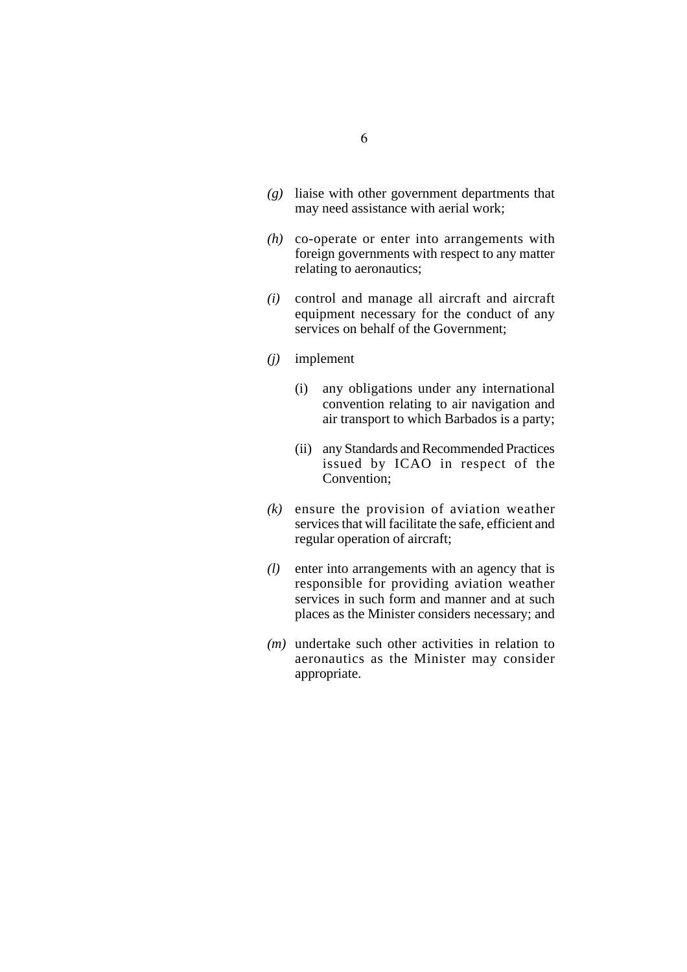- *(g)* liaise with other government departments that may need assistance with aerial work;
- *(h)* co-operate or enter into arrangements with foreign governments with respect to any matter relating to aeronautics;
- *(i)* control and manage all aircraft and aircraft equipment necessary for the conduct of any services on behalf of the Government;
- *(j)* implement
	- (i) any obligations under any international convention relating to air navigation and air transport to which Barbados is a party;
	- (ii) any Standards and Recommended Practices issued by ICAO in respect of the Convention;
- *(k)* ensure the provision of aviation weather services that will facilitate the safe, efficient and regular operation of aircraft;
- *(l)* enter into arrangements with an agency that is responsible for providing aviation weather services in such form and manner and at such places as the Minister considers necessary; and
- *(m)* undertake such other activities in relation to aeronautics as the Minister may consider appropriate.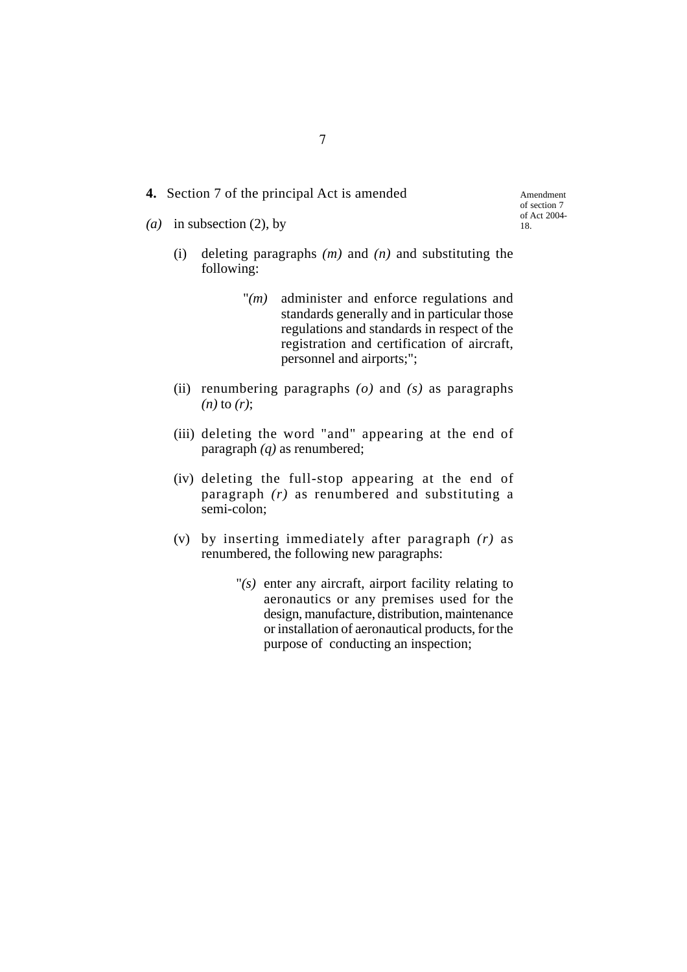- **4.** Section 7 of the principal Act is amended
- *(a)* in subsection (2), by

Amendment of section 7 of Act 2004- 18.

- (i) deleting paragraphs *(m)* and *(n)* and substituting the following:
	- "*(m)* administer and enforce regulations and standards generally and in particular those regulations and standards in respect of the registration and certification of aircraft, personnel and airports;";
- (ii) renumbering paragraphs *(o)* and *(s)* as paragraphs *(n)* to *(r)*;
- (iii) deleting the word "and" appearing at the end of paragraph *(q)* as renumbered;
- (iv) deleting the full-stop appearing at the end of paragraph *(r)* as renumbered and substituting a semi-colon;
- (v) by inserting immediately after paragraph *(r)* as renumbered, the following new paragraphs:
	- "*(s)* enter any aircraft, airport facility relating to aeronautics or any premises used for the design, manufacture, distribution, maintenance or installation of aeronautical products, for the purpose of conducting an inspection;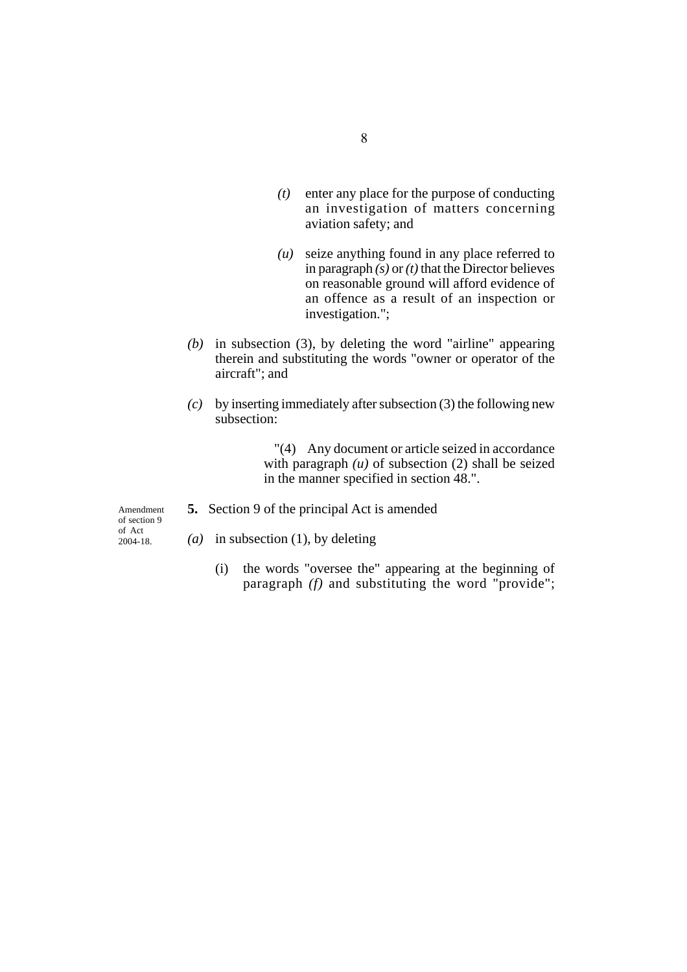- *(t)* enter any place for the purpose of conducting an investigation of matters concerning aviation safety; and
- *(u)* seize anything found in any place referred to in paragraph *(s)* or *(t)* that the Director believes on reasonable ground will afford evidence of an offence as a result of an inspection or investigation.";
- *(b)* in subsection (3), by deleting the word "airline" appearing therein and substituting the words "owner or operator of the aircraft"; and
- *(c)* by inserting immediately after subsection (3) the following new subsection:

"(4) Any document or article seized in accordance with paragraph  $(u)$  of subsection  $(2)$  shall be seized in the manner specified in section 48.".

Amendment of section 9 of Act 2004-18.

- **5.** Section 9 of the principal Act is amended
- *(a)* in subsection (1), by deleting
	- (i) the words "oversee the" appearing at the beginning of paragraph *(f)* and substituting the word "provide";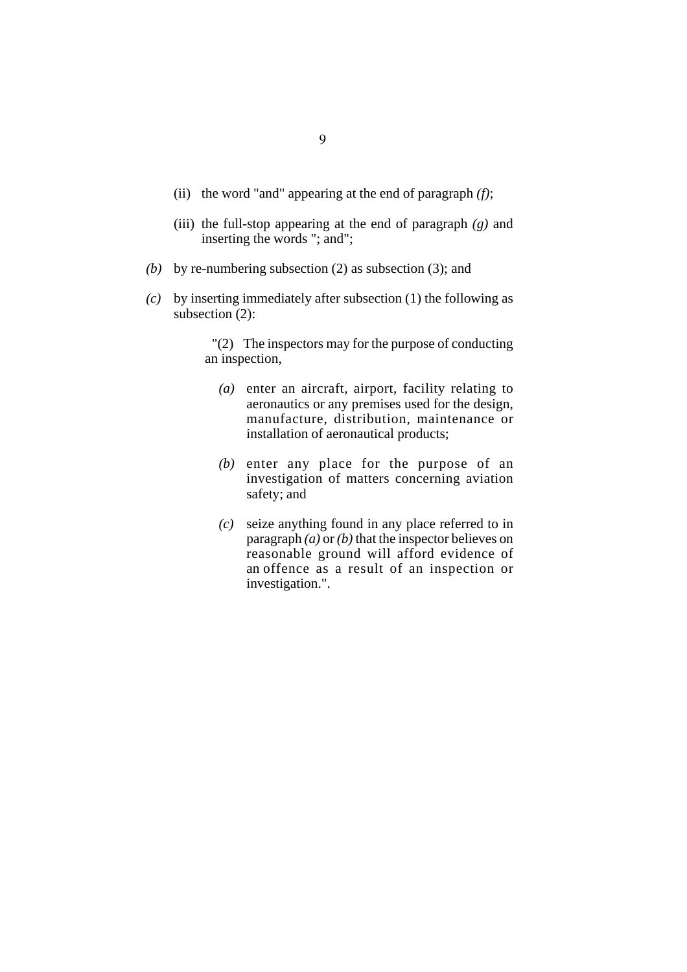- (ii) the word "and" appearing at the end of paragraph *(f)*;
- (iii) the full-stop appearing at the end of paragraph *(g)* and inserting the words "; and";
- *(b)* by re-numbering subsection (2) as subsection (3); and
- *(c)* by inserting immediately after subsection (1) the following as subsection (2):

"(2) The inspectors may for the purpose of conducting an inspection,

- *(a)* enter an aircraft, airport, facility relating to aeronautics or any premises used for the design, manufacture, distribution, maintenance or installation of aeronautical products;
- *(b)* enter any place for the purpose of an investigation of matters concerning aviation safety; and
- *(c)* seize anything found in any place referred to in paragraph *(a)* or *(b)* that the inspector believes on reasonable ground will afford evidence of an offence as a result of an inspection or investigation.".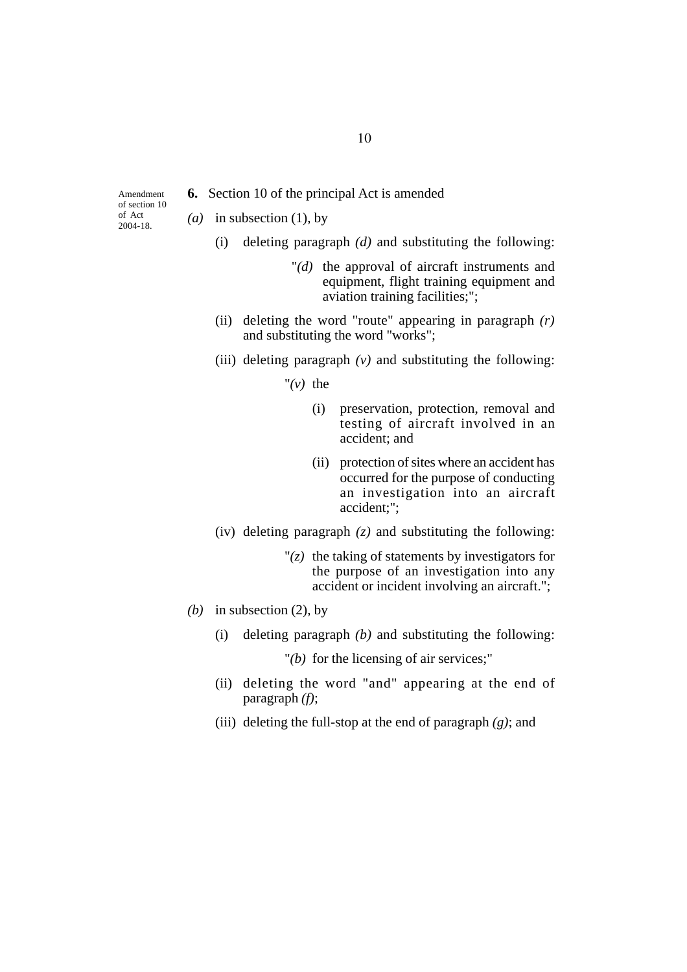**6.** Section 10 of the principal Act is amended

Amendment of section 10 of Act 2004-18.

- *(a)* in subsection (1), by
	- (i) deleting paragraph *(d)* and substituting the following:
		- "*(d)* the approval of aircraft instruments and equipment, flight training equipment and aviation training facilities;";
	- (ii) deleting the word "route" appearing in paragraph *(r)* and substituting the word "works";
	- (iii) deleting paragraph  $(v)$  and substituting the following:
		- " $(v)$  the
			- (i) preservation, protection, removal and testing of aircraft involved in an accident; and
			- (ii) protection of sites where an accident has occurred for the purpose of conducting an investigation into an aircraft accident;";
	- (iv) deleting paragraph *(z)* and substituting the following:
		- $\Gamma(z)$  the taking of statements by investigators for the purpose of an investigation into any accident or incident involving an aircraft.";
- *(b)* in subsection (2), by
	- (i) deleting paragraph *(b)* and substituting the following:

"*(b)* for the licensing of air services;"

- (ii) deleting the word "and" appearing at the end of paragraph *(f)*;
- (iii) deleting the full-stop at the end of paragraph *(g)*; and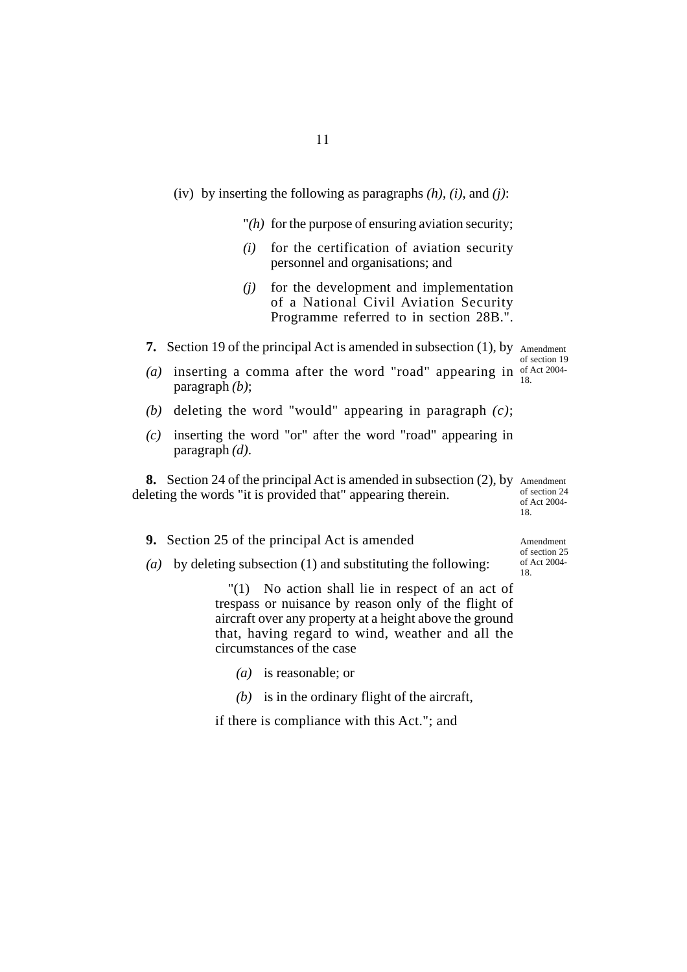- (iv) by inserting the following as paragraphs *(h)*, *(i)*, and *(j)*:
	- "*(h)* for the purpose of ensuring aviation security;
	- *(i)* for the certification of aviation security personnel and organisations; and
	- *(j)* for the development and implementation of a National Civil Aviation Security Programme referred to in section 28B.".
- **7.** Section 19 of the principal Act is amended in subsection (1), by Amendment

(a) inserting a comma after the word "road" appearing in  $of$  Act 2004of section 19 18.

- *(b)* deleting the word "would" appearing in paragraph *(c)*;
- *(c)* inserting the word "or" after the word "road" appearing in paragraph *(d)*.

**8.** Section 24 of the principal Act is amended in subsection (2), by Amendment deleting the words "it is provided that" appearing therein. of section 24 of Act 2004-

**9.** Section 25 of the principal Act is amended

paragraph *(b)*;

*(a)* by deleting subsection (1) and substituting the following:

"(1) No action shall lie in respect of an act of trespass or nuisance by reason only of the flight of aircraft over any property at a height above the ground that, having regard to wind, weather and all the circumstances of the case

- *(a)* is reasonable; or
- *(b)* is in the ordinary flight of the aircraft,

if there is compliance with this Act."; and

Amendment of section 25 of Act 2004- 18.

18.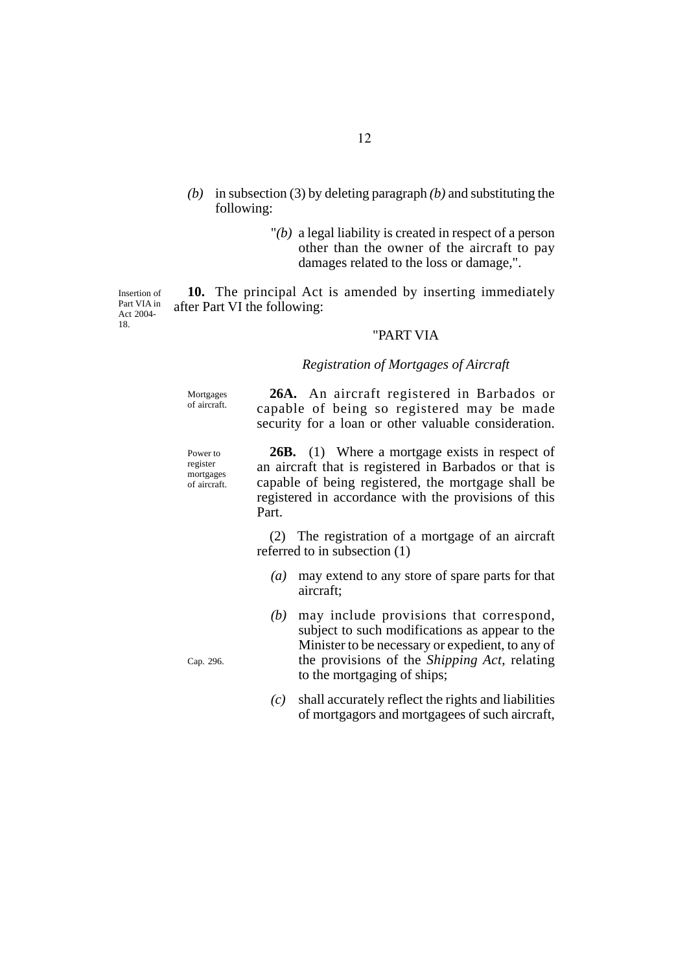- *(b)* in subsection (3) by deleting paragraph *(b)* and substituting the following:
	- "*(b)* a legal liability is created in respect of a person other than the owner of the aircraft to pay damages related to the loss or damage,".

**10.** The principal Act is amended by inserting immediately after Part VI the following: Insertion of Part VIA in Act 2004-

## "PART VIA

## *Registration of Mortgages of Aircraft*

Mortgages of aircraft.

18.

Power to register mortgages of aircraft.

**26A.** An aircraft registered in Barbados or capable of being so registered may be made security for a loan or other valuable consideration.

**26B.** (1) Where a mortgage exists in respect of an aircraft that is registered in Barbados or that is capable of being registered, the mortgage shall be registered in accordance with the provisions of this Part.

(2) The registration of a mortgage of an aircraft referred to in subsection (1)

- *(a)* may extend to any store of spare parts for that aircraft;
- *(b)* may include provisions that correspond, subject to such modifications as appear to the Minister to be necessary or expedient, to any of the provisions of the *Shipping Act*, relating to the mortgaging of ships;
- *(c)* shall accurately reflect the rights and liabilities of mortgagors and mortgagees of such aircraft,

Cap. 296.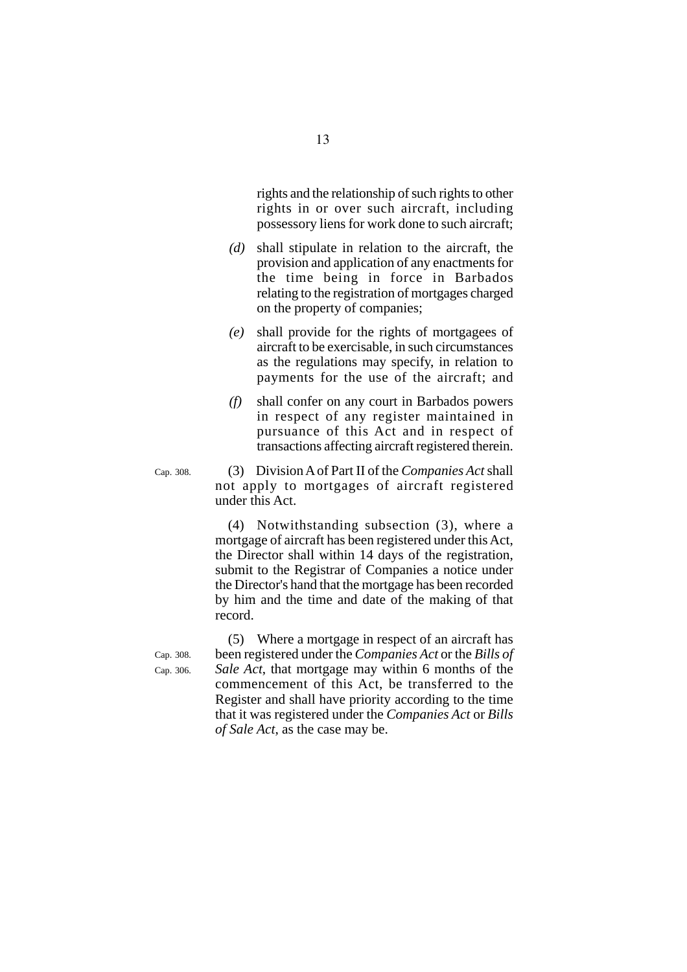rights and the relationship of such rights to other rights in or over such aircraft, including possessory liens for work done to such aircraft;

- *(d)* shall stipulate in relation to the aircraft, the provision and application of any enactments for the time being in force in Barbados relating to the registration of mortgages charged on the property of companies;
- *(e)* shall provide for the rights of mortgagees of aircraft to be exercisable, in such circumstances as the regulations may specify, in relation to payments for the use of the aircraft; and
- *(f)* shall confer on any court in Barbados powers in respect of any register maintained in pursuance of this Act and in respect of transactions affecting aircraft registered therein.

(3) Division A of Part II of the *Companies Act* shall not apply to mortgages of aircraft registered under this Act.

(4) Notwithstanding subsection (3), where a mortgage of aircraft has been registered under this Act, the Director shall within 14 days of the registration, submit to the Registrar of Companies a notice under the Director's hand that the mortgage has been recorded by him and the time and date of the making of that record.

(5) Where a mortgage in respect of an aircraft has been registered under the *Companies Act* or the *Bills of Sale Act*, that mortgage may within 6 months of the commencement of this Act, be transferred to the Register and shall have priority according to the time that it was registered under the *Companies Act* or *Bills of Sale Act*, as the case may be.

Cap. 308. Cap. 306.

Cap. 308.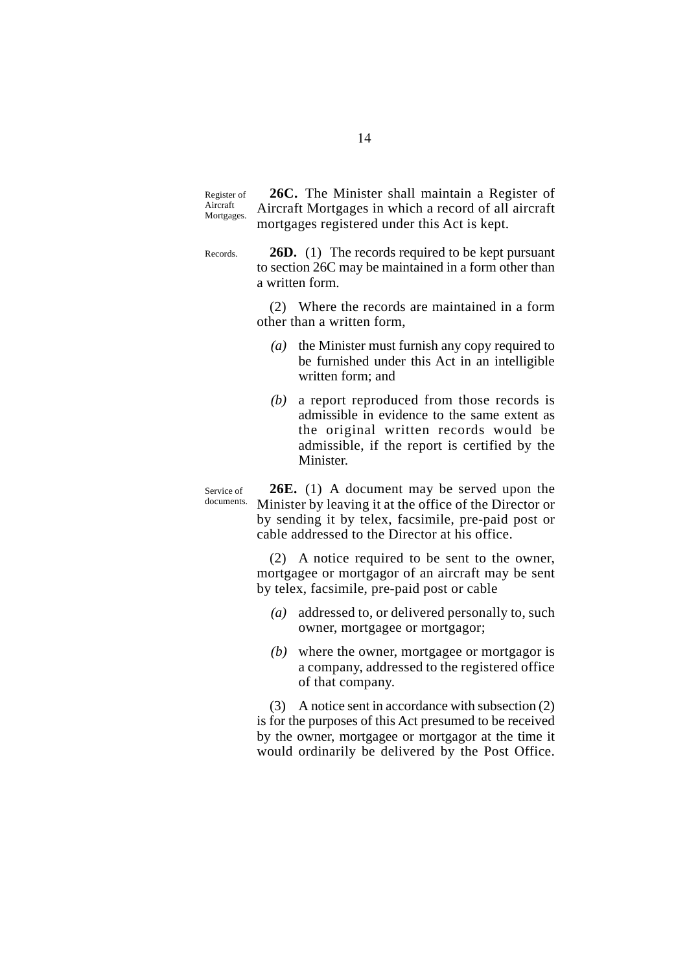**26C.** The Minister shall maintain a Register of Aircraft Mortgages in which a record of all aircraft mortgages registered under this Act is kept. Register of Aircraft Mortgages.

**26D.** (1) The records required to be kept pursuant to section 26C may be maintained in a form other than a written form. Records.

> (2) Where the records are maintained in a form other than a written form,

- *(a)* the Minister must furnish any copy required to be furnished under this Act in an intelligible written form; and
- *(b)* a report reproduced from those records is admissible in evidence to the same extent as the original written records would be admissible, if the report is certified by the Minister.

**26E.** (1) A document may be served upon the Minister by leaving it at the office of the Director or by sending it by telex, facsimile, pre-paid post or cable addressed to the Director at his office.

(2) A notice required to be sent to the owner, mortgagee or mortgagor of an aircraft may be sent by telex, facsimile, pre-paid post or cable

- *(a)* addressed to, or delivered personally to, such owner, mortgagee or mortgagor;
- *(b)* where the owner, mortgagee or mortgagor is a company, addressed to the registered office of that company.

(3) A notice sent in accordance with subsection (2) is for the purposes of this Act presumed to be received by the owner, mortgagee or mortgagor at the time it would ordinarily be delivered by the Post Office.

Service of documents.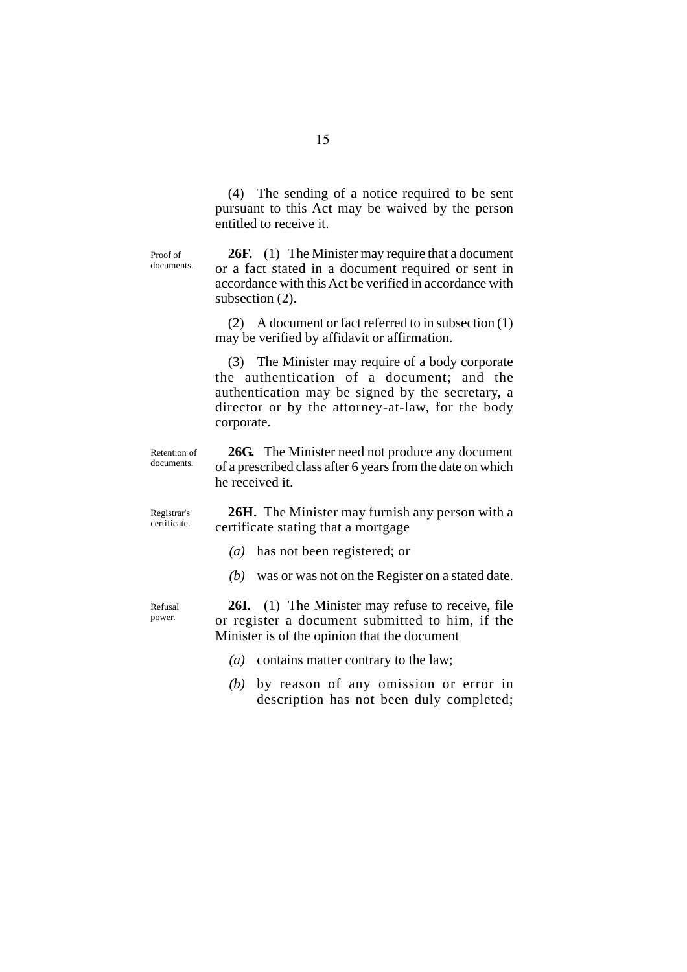(4) The sending of a notice required to be sent pursuant to this Act may be waived by the person entitled to receive it.

Proof of documents.

**26F.** (1) The Minister may require that a document or a fact stated in a document required or sent in accordance with this Act be verified in accordance with subsection  $(2)$ .

(2) A document or fact referred to in subsection (1) may be verified by affidavit or affirmation.

(3) The Minister may require of a body corporate the authentication of a document; and the authentication may be signed by the secretary, a director or by the attorney-at-law, for the body corporate.

Retention of documents.

**26G.** The Minister need not produce any document of a prescribed class after 6 years from the date on which he received it.

Registrar's certificate.

Refusal power.

**26H.** The Minister may furnish any person with a certificate stating that a mortgage

- *(a)* has not been registered; or
- *(b)* was or was not on the Register on a stated date.

**26I.** (1) The Minister may refuse to receive, file or register a document submitted to him, if the Minister is of the opinion that the document

- *(a)* contains matter contrary to the law;
- *(b)* by reason of any omission or error in description has not been duly completed;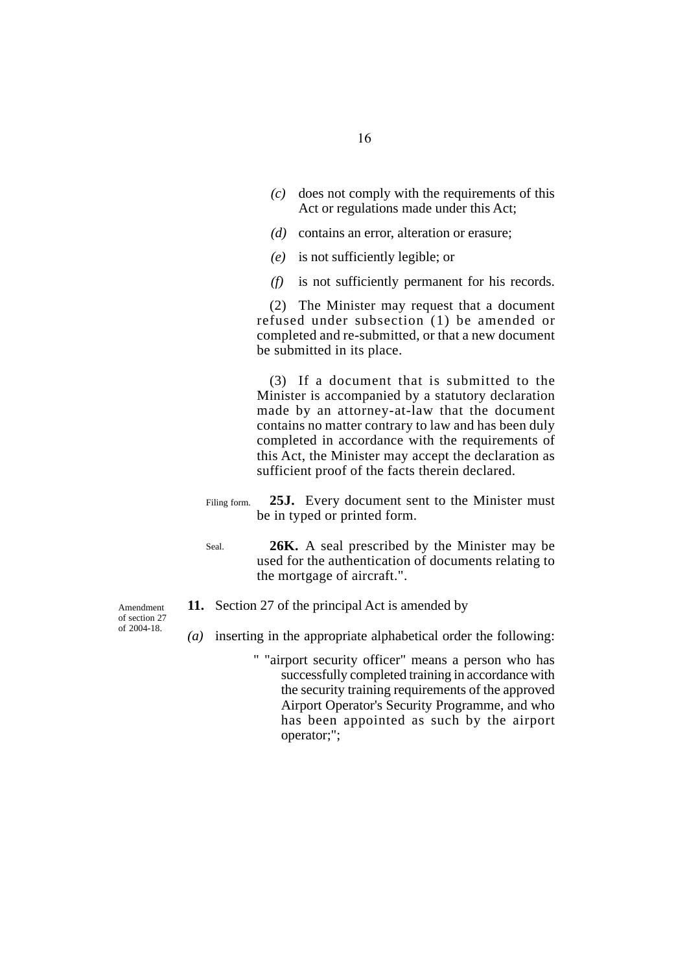- *(c)* does not comply with the requirements of this Act or regulations made under this Act;
- *(d)* contains an error, alteration or erasure;
- *(e)* is not sufficiently legible; or
- *(f)* is not sufficiently permanent for his records.

(2) The Minister may request that a document refused under subsection (1) be amended or completed and re-submitted, or that a new document be submitted in its place.

(3) If a document that is submitted to the Minister is accompanied by a statutory declaration made by an attorney-at-law that the document contains no matter contrary to law and has been duly completed in accordance with the requirements of this Act, the Minister may accept the declaration as sufficient proof of the facts therein declared.

- **25J.** Every document sent to the Minister must be in typed or printed form. Filing form.
- **26K.** A seal prescribed by the Minister may be used for the authentication of documents relating to the mortgage of aircraft.". Seal.
- **11.** Section 27 of the principal Act is amended by
- *(a)* inserting in the appropriate alphabetical order the following:
	- " "airport security officer" means a person who has successfully completed training in accordance with the security training requirements of the approved Airport Operator's Security Programme, and who has been appointed as such by the airport operator;";

Amendment of section 27 of 2004-18.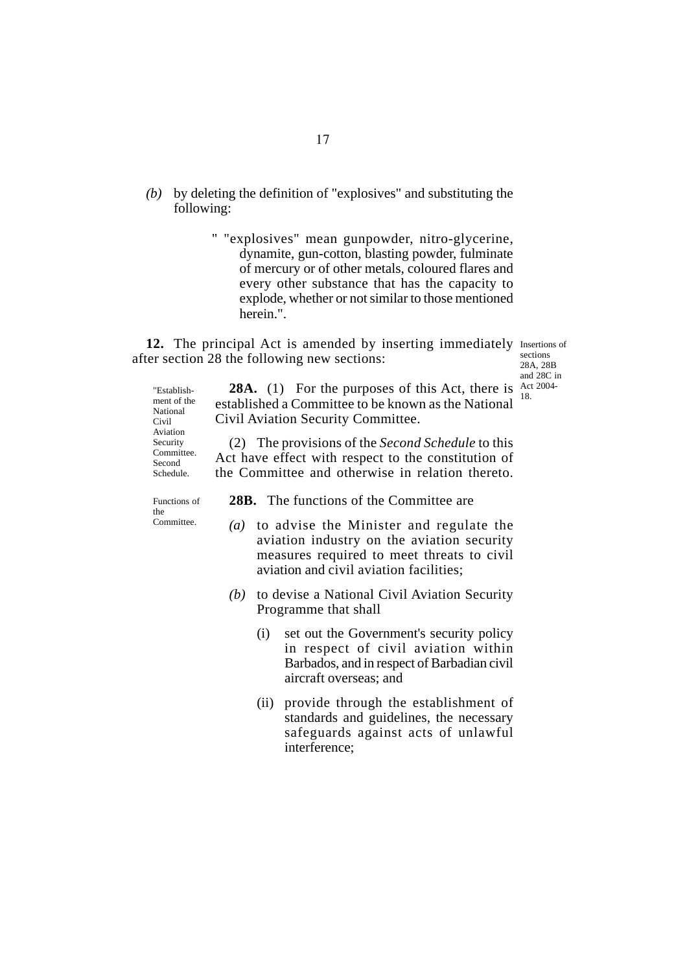- *(b)* by deleting the definition of "explosives" and substituting the following:
	- " "explosives" mean gunpowder, nitro-glycerine, dynamite, gun-cotton, blasting powder, fulminate of mercury or of other metals, coloured flares and every other substance that has the capacity to explode, whether or not similar to those mentioned herein.".

12. The principal Act is amended by inserting immediately Insertions of after section 28 the following new sections:

sections 28A, 28B and 28C in

"Establish-<br> **28A.** (1) For the purposes of this Act, there is  $\frac{\text{Act}}{\text{Net 2004}}$ established a Committee to be known as the National Civil Aviation Security Committee. (2) The provisions of the *Second Schedule* to this Act have effect with respect to the constitution of the Committee and otherwise in relation thereto. ment of the National Civil Aviation Security Committee. Second Schedule.

Functions of the Committee.

**28B.** The functions of the Committee are

- *(a)* to advise the Minister and regulate the aviation industry on the aviation security measures required to meet threats to civil aviation and civil aviation facilities;
- *(b)* to devise a National Civil Aviation Security Programme that shall
	- (i) set out the Government's security policy in respect of civil aviation within Barbados, and in respect of Barbadian civil aircraft overseas; and
	- (ii) provide through the establishment of standards and guidelines, the necessary safeguards against acts of unlawful interference;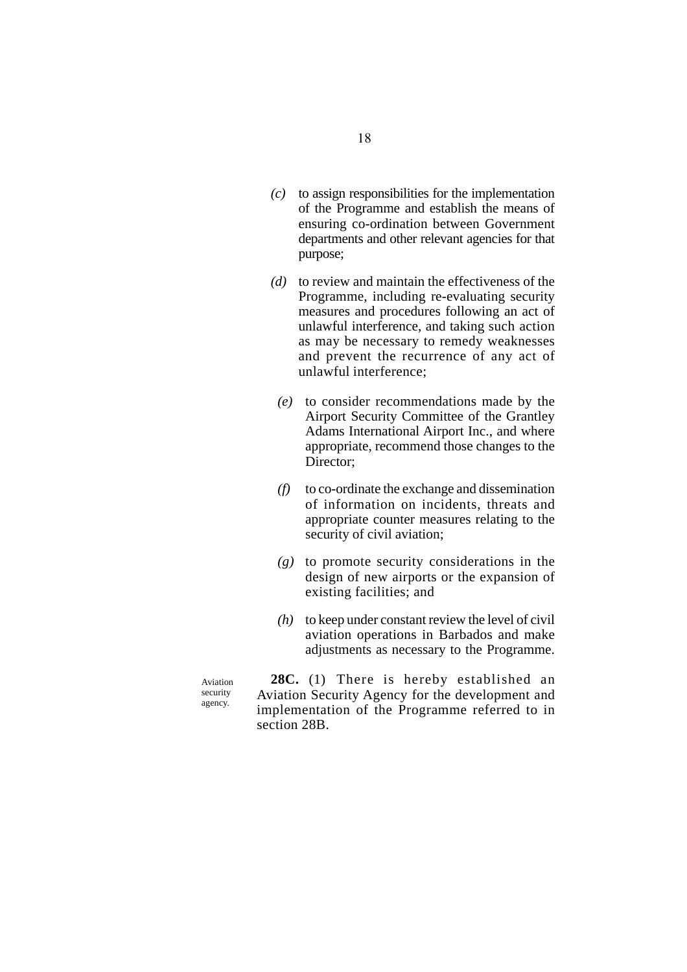- *(c)* to assign responsibilities for the implementation of the Programme and establish the means of ensuring co-ordination between Government departments and other relevant agencies for that purpose;
- *(d)* to review and maintain the effectiveness of the Programme, including re-evaluating security measures and procedures following an act of unlawful interference, and taking such action as may be necessary to remedy weaknesses and prevent the recurrence of any act of unlawful interference;
	- *(e)* to consider recommendations made by the Airport Security Committee of the Grantley Adams International Airport Inc., and where appropriate, recommend those changes to the Director:
	- *(f)* to co-ordinate the exchange and dissemination of information on incidents, threats and appropriate counter measures relating to the security of civil aviation;
	- *(g)* to promote security considerations in the design of new airports or the expansion of existing facilities; and
	- *(h)* to keep under constant review the level of civil aviation operations in Barbados and make adjustments as necessary to the Programme.

Aviation security agency.

**28C.** (1) There is hereby established an Aviation Security Agency for the development and implementation of the Programme referred to in section 28B.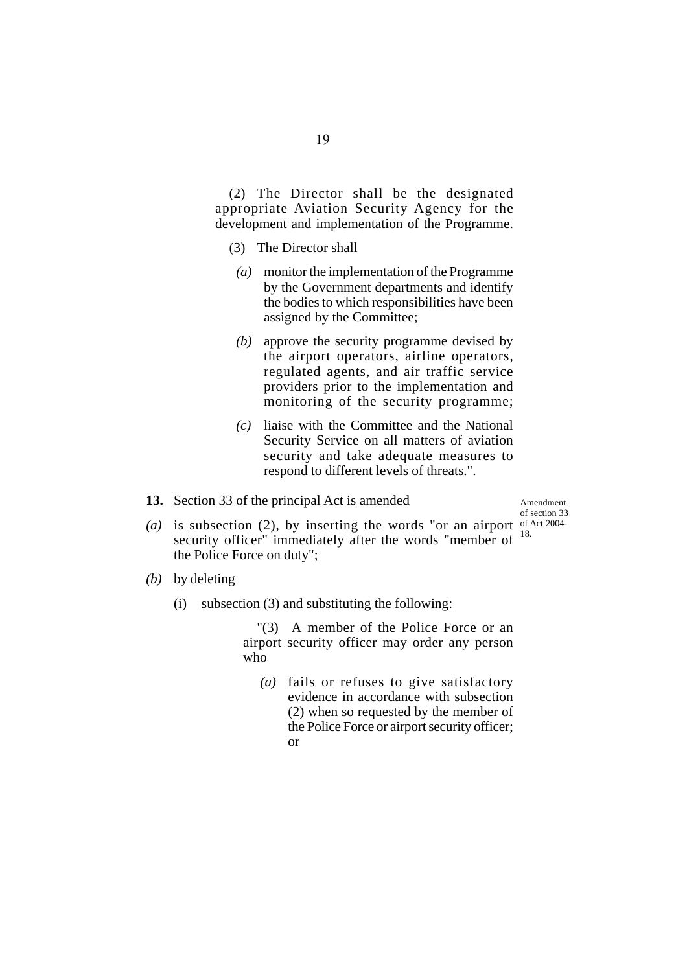(2) The Director shall be the designated appropriate Aviation Security Agency for the development and implementation of the Programme.

- (3) The Director shall
- *(a)* monitor the implementation of the Programme by the Government departments and identify the bodies to which responsibilities have been assigned by the Committee;
- *(b)* approve the security programme devised by the airport operators, airline operators, regulated agents, and air traffic service providers prior to the implementation and monitoring of the security programme;
- *(c)* liaise with the Committee and the National Security Service on all matters of aviation security and take adequate measures to respond to different levels of threats.".
- **13.** Section 33 of the principal Act is amended

Amendment of section 33 18.

- (a) is subsection (2), by inserting the words "or an airport of Act 2004security officer" immediately after the words "member of the Police Force on duty";
- *(b)* by deleting
	- (i) subsection (3) and substituting the following:

"(3) A member of the Police Force or an airport security officer may order any person who

*(a)* fails or refuses to give satisfactory evidence in accordance with subsection (2) when so requested by the member of the Police Force or airport security officer; or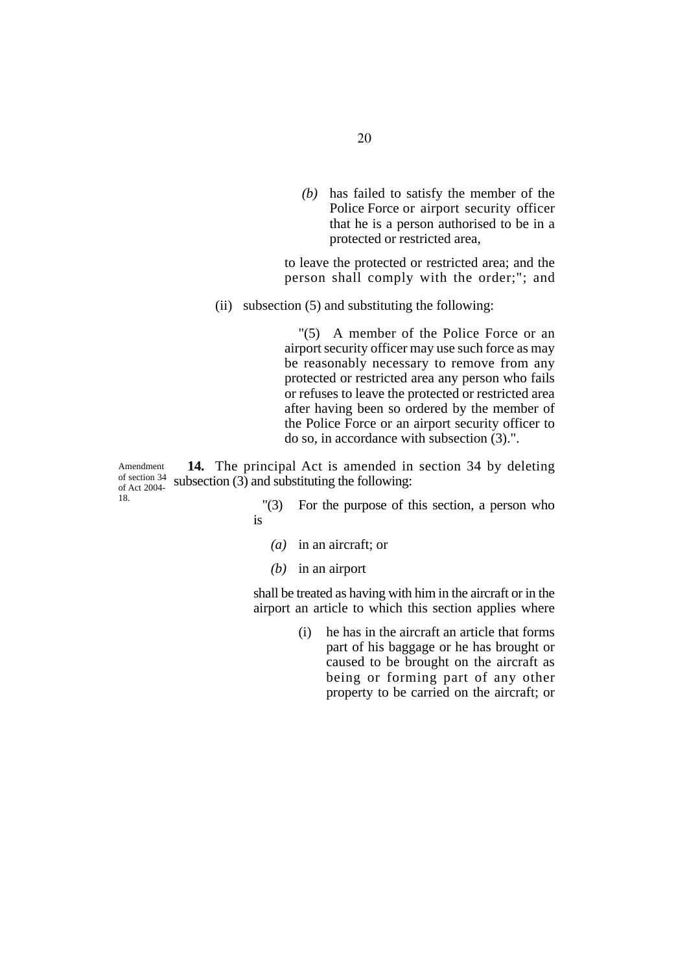*(b)* has failed to satisfy the member of the Police Force or airport security officer that he is a person authorised to be in a protected or restricted area,

to leave the protected or restricted area; and the person shall comply with the order;"; and

(ii) subsection (5) and substituting the following:

"(5) A member of the Police Force or an airport security officer may use such force as may be reasonably necessary to remove from any protected or restricted area any person who fails or refuses to leave the protected or restricted area after having been so ordered by the member of the Police Force or an airport security officer to do so, in accordance with subsection (3).".

**14.** The principal Act is amended in section 34 by deleting subsection (3) and substituting the following: Amendment of section 34 of Act 2004- 18.

- "(3) For the purpose of this section, a person who is
	- *(a)* in an aircraft; or
	- *(b)* in an airport

shall be treated as having with him in the aircraft or in the airport an article to which this section applies where

> (i) he has in the aircraft an article that forms part of his baggage or he has brought or caused to be brought on the aircraft as being or forming part of any other property to be carried on the aircraft; or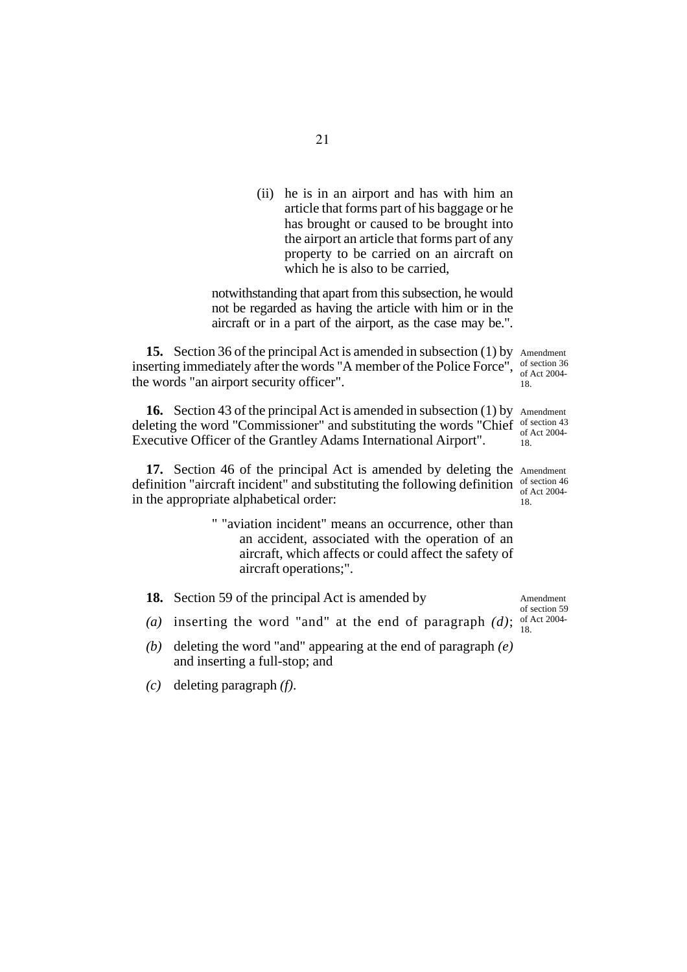(ii) he is in an airport and has with him an article that forms part of his baggage or he has brought or caused to be brought into the airport an article that forms part of any property to be carried on an aircraft on which he is also to be carried,

notwithstanding that apart from this subsection, he would not be regarded as having the article with him or in the aircraft or in a part of the airport, as the case may be.".

**15.** Section 36 of the principal Act is amended in subsection (1) by Amendment inserting immediately after the words "A member of the Police Force", of section 36 the words "an airport security officer". of Act 2004- 18.

16. Section 43 of the principal Act is amended in subsection (1) by Amendment deleting the word "Commissioner" and substituting the words "Chief of section 43 Executive Officer of the Grantley Adams International Airport". of Act 2004- 18.

17. Section 46 of the principal Act is amended by deleting the Amendment definition "aircraft incident" and substituting the following definition of section 46 in the appropriate alphabetical order: of Act 2004- 18.

> " "aviation incident" means an occurrence, other than an accident, associated with the operation of an aircraft, which affects or could affect the safety of aircraft operations;".

> > Amendment of section 59

- **18.** Section 59 of the principal Act is amended by
- (a) inserting the word "and" at the end of paragraph  $(d)$ ;  $_{10}^{6}$  Act 2004-18.
- *(b)* deleting the word "and" appearing at the end of paragraph *(e)* and inserting a full-stop; and
- *(c)* deleting paragraph *(f)*.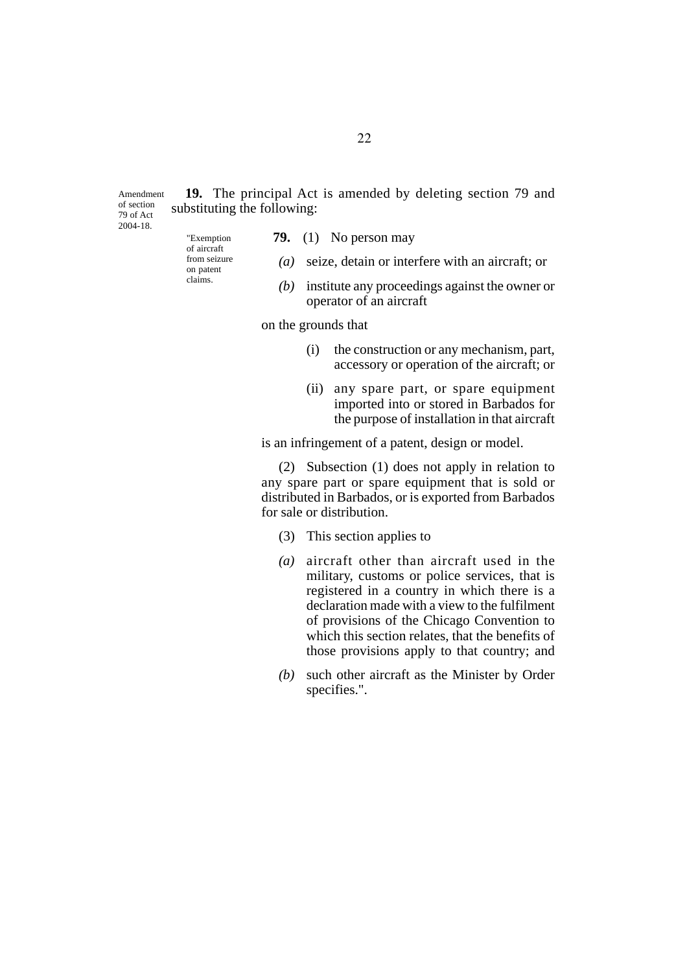**19.** The principal Act is amended by deleting section 79 and substituting the following: Amendment of section

79 of Act 2004-18.

"Exemption of aircraft from seizure on patent claims.

- **79.** (1) No person may
- *(a)* seize, detain or interfere with an aircraft; or
- *(b)* institute any proceedings against the owner or operator of an aircraft

on the grounds that

- (i) the construction or any mechanism, part, accessory or operation of the aircraft; or
- (ii) any spare part, or spare equipment imported into or stored in Barbados for the purpose of installation in that aircraft

is an infringement of a patent, design or model.

(2) Subsection (1) does not apply in relation to any spare part or spare equipment that is sold or distributed in Barbados, or is exported from Barbados for sale or distribution.

- (3) This section applies to
- *(a)* aircraft other than aircraft used in the military, customs or police services, that is registered in a country in which there is a declaration made with a view to the fulfilment of provisions of the Chicago Convention to which this section relates, that the benefits of those provisions apply to that country; and
- *(b)* such other aircraft as the Minister by Order specifies.".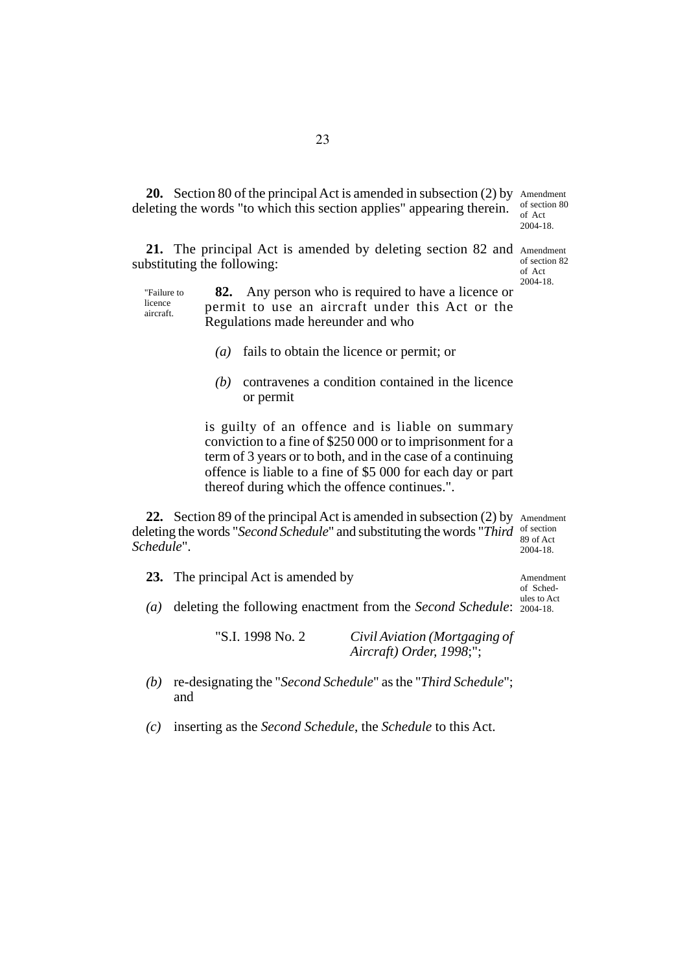20. Section 80 of the principal Act is amended in subsection (2) by Amendment deleting the words "to which this section applies" appearing therein. of section 80 of Act 2004-18.

21. The principal Act is amended by deleting section 82 and Amendment substituting the following:

of section 82 of Act 2004-18.

"Failure to licence aircraft.

**82.** Any person who is required to have a licence or permit to use an aircraft under this Act or the Regulations made hereunder and who

- *(a)* fails to obtain the licence or permit; or
- *(b)* contravenes a condition contained in the licence or permit

is guilty of an offence and is liable on summary conviction to a fine of \$250 000 or to imprisonment for a term of 3 years or to both, and in the case of a continuing offence is liable to a fine of \$5 000 for each day or part thereof during which the offence continues.".

**22.** Section 89 of the principal Act is amended in subsection (2) by Amendment deleting the words "*Second Schedule*" and substituting the words "*Third* of section *Schedule*". 89 of Act 2004-18.

**23.** The principal Act is amended by

Amendment of Schedules to Act

*(a)* deleting the following enactment from the *Second Schedule*: 2004-18.

"S.I. 1998 No. 2 *Civil Aviation (Mortgaging of Aircraft) Order, 1998*;";

*(b)* re-designating the "*Second Schedule*" as the "*Third Schedule*"; and

*(c)* inserting as the *Second Schedule*, the *Schedule* to this Act.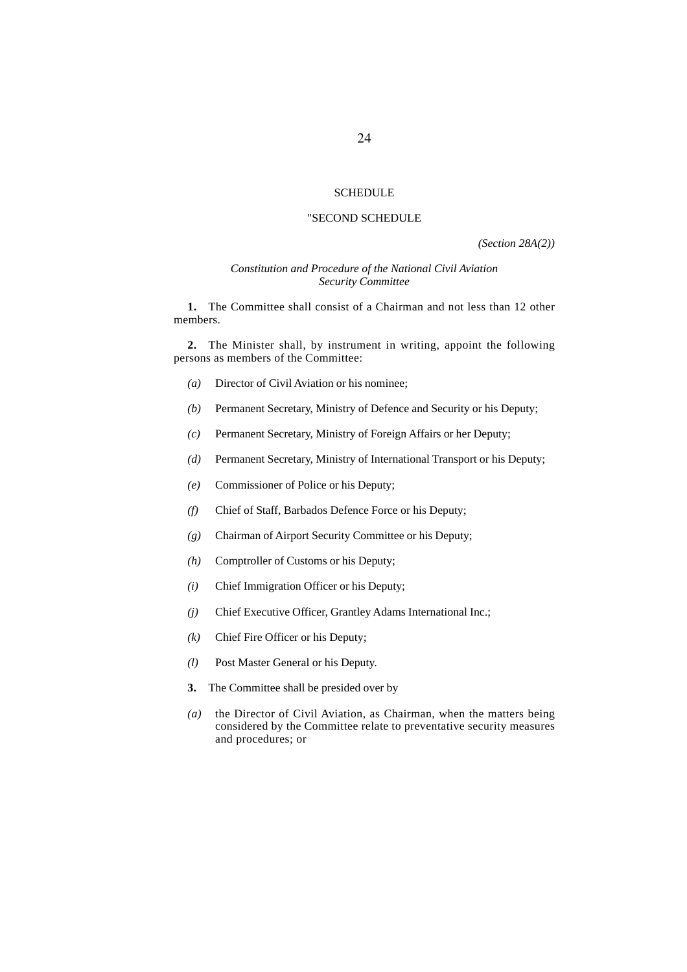#### **SCHEDULE**

#### "SECOND SCHEDULE

*(Section 28A(2))*

#### *Constitution and Procedure of the National Civil Aviation Security Committee*

**1.** The Committee shall consist of a Chairman and not less than 12 other members.

**2.** The Minister shall, by instrument in writing, appoint the following persons as members of the Committee:

- *(a)* Director of Civil Aviation or his nominee;
- *(b)* Permanent Secretary, Ministry of Defence and Security or his Deputy;
- *(c)* Permanent Secretary, Ministry of Foreign Affairs or her Deputy;
- *(d)* Permanent Secretary, Ministry of International Transport or his Deputy;
- *(e)* Commissioner of Police or his Deputy;
- *(f)* Chief of Staff, Barbados Defence Force or his Deputy;
- *(g)* Chairman of Airport Security Committee or his Deputy;
- *(h)* Comptroller of Customs or his Deputy;
- *(i)* Chief Immigration Officer or his Deputy;
- *(j)* Chief Executive Officer, Grantley Adams International Inc.;
- *(k)* Chief Fire Officer or his Deputy;
- *(l)* Post Master General or his Deputy.
- **3.** The Committee shall be presided over by
- *(a)* the Director of Civil Aviation, as Chairman, when the matters being considered by the Committee relate to preventative security measures and procedures; or